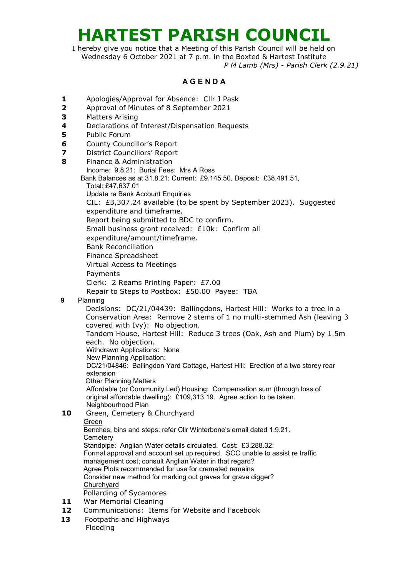# **HARTEST PARISH COUNCIL**

I hereby give you notice that a Meeting of this Parish Council will be held on Wednesday 6 October 2021 at 7 p.m. in the Boxted & Hartest Institute *P M Lamb (Mrs) - Parish Clerk (2.9.21)*

## **A G E N D A**

- **1** Apologies/Approval for Absence: Cllr J Pask
- **2** Approval of Minutes of 8 September 2021
- **3** Matters Arising
- **4** Declarations of Interest/Dispensation Requests
- **5** Public Forum
- **6** County Councillor's Report
- **7** District Councillors' Report
- **8** Finance & Administration Income: 9.8.21: Burial Fees: Mrs A Ross Bank Balances as at 31.8.21: Current: £9,145.50, Deposit: £38,491.51,

Total: £47,637.01

Update re Bank Account Enquiries

CIL: £3,307.24 available (to be spent by September 2023). Suggested expenditure and timeframe.

Report being submitted to BDC to confirm.

Small business grant received: £10k: Confirm all

expenditure/amount/timeframe.

Bank Reconciliation

Finance Spreadsheet

Virtual Access to Meetings

#### Payments

Clerk: 2 Reams Printing Paper: £7.00

Repair to Steps to Postbox: £50.00 Payee: TBA

 **9** Planning

Decisions: DC/21/04439: Ballingdons, Hartest Hill: Works to a tree in a Conservation Area: Remove 2 stems of 1 no multi-stemmed Ash (leaving 3 covered with Ivy): No objection. Tandem House, Hartest Hill: Reduce 3 trees (Oak, Ash and Plum) by 1.5m each. No objection. Withdrawn Applications: None

New Planning Application:

DC/21/04846: Ballingdon Yard Cottage, Hartest Hill: Erection of a two storey rear extension

Other Planning Matters

Affordable (or Community Led) Housing: Compensation sum (through loss of original affordable dwelling): £109,313.19. Agree action to be taken. Neighbourhood Plan

10 Green, Cemetery & Churchyard

### Green

 Benches, bins and steps: refer Cllr Winterbone's email dated 1.9.21. **Cemetery**  Standpipe: Anglian Water details circulated. Cost: £3,288.32: Formal approval and account set up required. SCC unable to assist re traffic management cost; consult Anglian Water in that regard? Agree Plots recommended for use for cremated remains Consider new method for marking out graves for grave digger?

#### **Churchyard**

- Pollarding of Sycamores
- **11** War Memorial Cleaning
- **12** Communications: Items for Website and Facebook
- **13** Footpaths and Highways Flooding